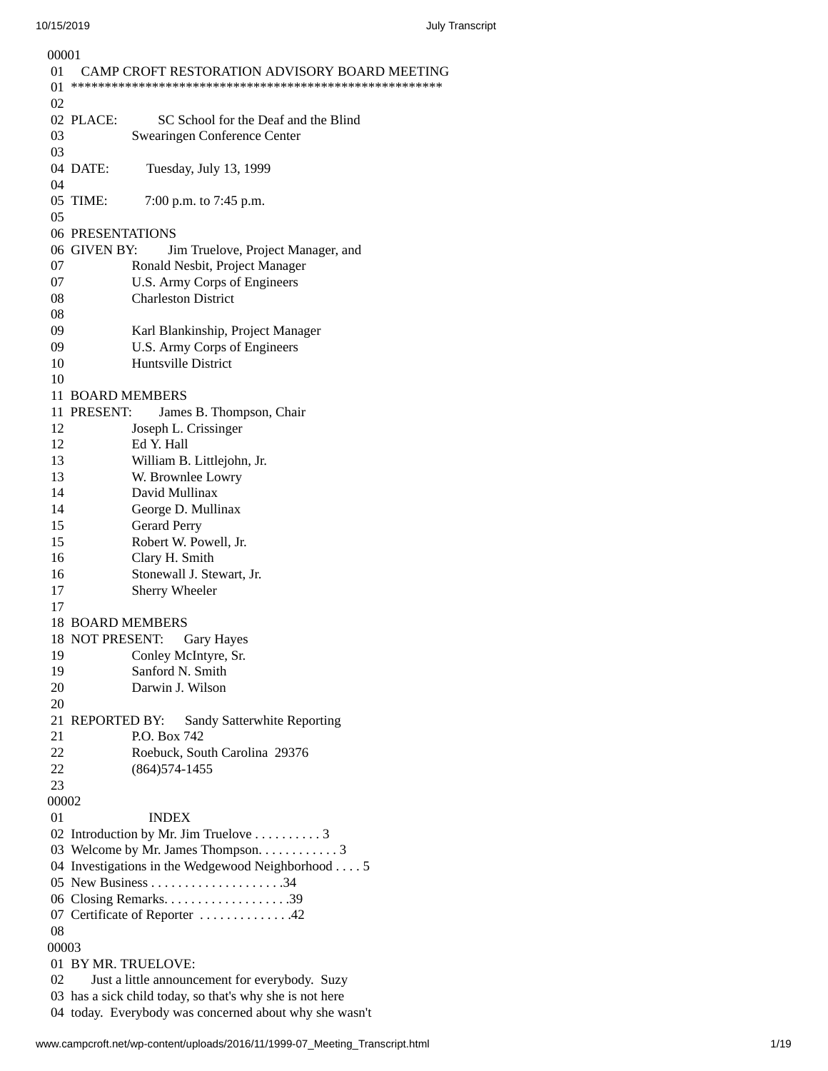| 00001 |                                                          |                                                            |
|-------|----------------------------------------------------------|------------------------------------------------------------|
| 01    |                                                          | CAMP CROFT RESTORATION ADVISORY BOARD MEETING              |
| 01    |                                                          |                                                            |
| 02    |                                                          |                                                            |
|       | 02 PLACE:                                                | SC School for the Deaf and the Blind                       |
| 03    |                                                          | Swearingen Conference Center                               |
| 03    |                                                          |                                                            |
|       | 04 DATE:                                                 | Tuesday, July 13, 1999                                     |
| 04    |                                                          |                                                            |
|       | 05 TIME:                                                 | 7:00 p.m. to 7:45 p.m.                                     |
| 05    |                                                          |                                                            |
|       | <b>06 PRESENTATIONS</b>                                  |                                                            |
|       | 06 GIVEN BY:                                             | Jim Truelove, Project Manager, and                         |
| 07    |                                                          | Ronald Nesbit, Project Manager                             |
| 07    |                                                          |                                                            |
|       |                                                          | U.S. Army Corps of Engineers<br><b>Charleston District</b> |
| 08    |                                                          |                                                            |
| 08    |                                                          |                                                            |
| 09    |                                                          | Karl Blankinship, Project Manager                          |
| 09    |                                                          | U.S. Army Corps of Engineers                               |
| 10    |                                                          | Huntsville District                                        |
| 10    |                                                          |                                                            |
|       | 11 BOARD MEMBERS                                         |                                                            |
|       | 11 PRESENT:                                              | James B. Thompson, Chair                                   |
| 12    |                                                          | Joseph L. Crissinger                                       |
| 12    |                                                          | Ed Y. Hall                                                 |
| 13    |                                                          | William B. Littlejohn, Jr.                                 |
| 13    |                                                          | W. Brownlee Lowry                                          |
| 14    |                                                          | David Mullinax                                             |
| 14    |                                                          | George D. Mullinax                                         |
| 15    |                                                          | <b>Gerard Perry</b>                                        |
| 15    |                                                          | Robert W. Powell, Jr.                                      |
| 16    |                                                          | Clary H. Smith                                             |
| 16    |                                                          | Stonewall J. Stewart, Jr.                                  |
| 17    |                                                          | <b>Sherry Wheeler</b>                                      |
| 17    |                                                          |                                                            |
|       | <b>18 BOARD MEMBERS</b>                                  |                                                            |
|       |                                                          | 18 NOT PRESENT: Gary Hayes                                 |
|       |                                                          |                                                            |
| 19    |                                                          | Conley McIntyre, Sr.                                       |
| 19    |                                                          | Sanford N. Smith                                           |
| 20    |                                                          | Darwin J. Wilson                                           |
| 20    |                                                          |                                                            |
|       | 21 REPORTED BY:                                          | Sandy Satterwhite Reporting                                |
| 21    |                                                          | P.O. Box 742                                               |
| 22    |                                                          | Roebuck, South Carolina 29376                              |
| 22    |                                                          | (864) 574-1455                                             |
| 23    |                                                          |                                                            |
| 00002 |                                                          |                                                            |
| 01    |                                                          | <b>INDEX</b>                                               |
|       |                                                          | 02 Introduction by Mr. Jim Truelove 3                      |
|       |                                                          | 03 Welcome by Mr. James Thompson. 3                        |
|       | 04 Investigations in the Wedgewood Neighborhood 5        |                                                            |
|       |                                                          |                                                            |
|       |                                                          |                                                            |
|       | 07 Certificate of Reporter 42                            |                                                            |
| 08    |                                                          |                                                            |
| 00003 |                                                          |                                                            |
|       | 01 BY MR. TRUELOVE:                                      |                                                            |
| 02    | Just a little announcement for everybody. Suzy           |                                                            |
|       | 03 has a sick child today, so that's why she is not here |                                                            |
|       | 04 today. Everybody was concerned about why she wasn't   |                                                            |
|       |                                                          |                                                            |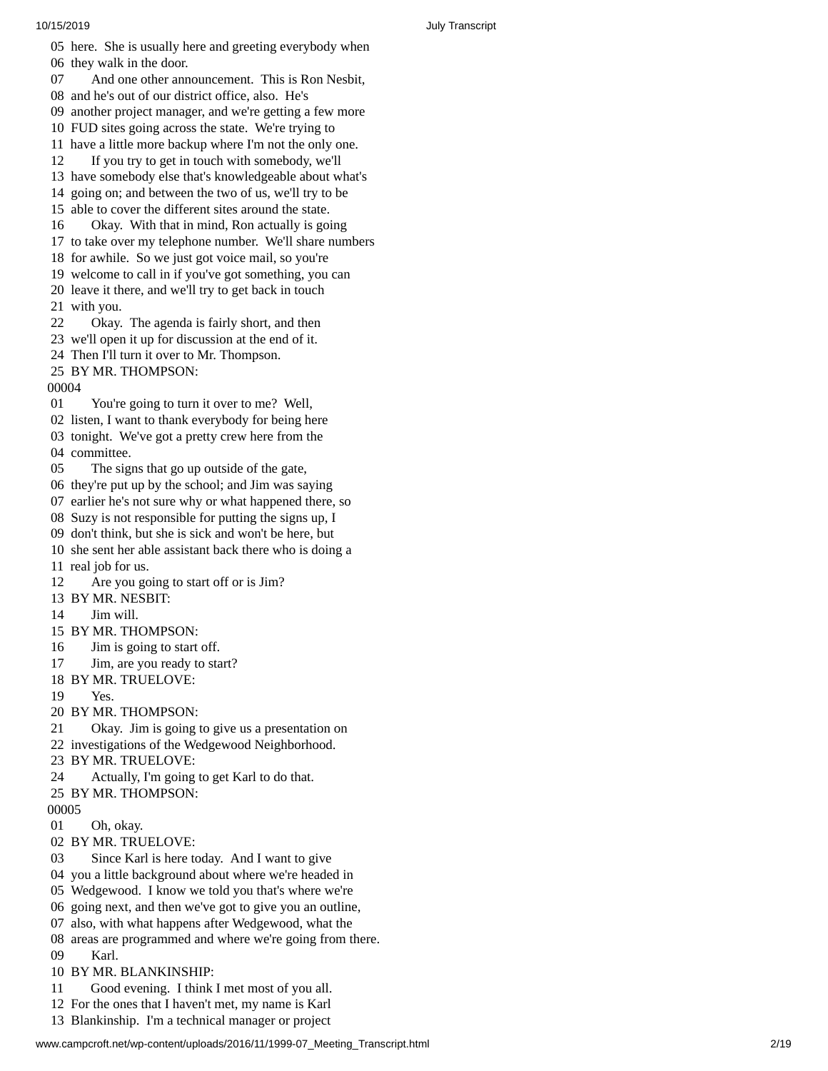05 here. She is usually here and greeting everybody when 06 they walk in the door. 07 And one other announcement. This is Ron Nesbit, 08 and he's out of our district office, also. He's 09 another project manager, and we're getting a few more 10 FUD sites going across the state. We're trying to 11 have a little more backup where I'm not the only one. 12 If you try to get in touch with somebody, we'll 13 have somebody else that's knowledgeable about what's 14 going on; and between the two of us, we'll try to be 15 able to cover the different sites around the state. 16 Okay. With that in mind, Ron actually is going 17 to take over my telephone number. We'll share number s 18 for awhile. So we just got voice mail, so you're 19 welcome to call in if you've got something, you can 20 leave it there, and we'll try to get back in touch 21 with you. 22 Okay. The agenda is fairly short, and then 23 we'll open it up for discussion at the end of it. 24 Then I'll turn it over to Mr. Thompson. 25 BY MR. THOMPSON: 00004 01 You're going to turn it over to me? Well, 02 listen, I want to thank everybody for being here 03 tonight. We've got a pretty crew here from the 04 committee. 05 The signs that go up outside of the gate, 06 they're put up by the school; and Jim was saying 07 earlier he's not sure why or what happened there, so 08 Suzy is not responsible for putting the signs up, I 09 don't think, but she is sick and won't be here, but 10 she sent her able assistant back there who is doing a 11 real job for us. 12 Are you going to start off or is Jim? 13 BY MR. NESBIT: 14 Jim will. 15 BY MR. THOMPS O N: 16 Jim is going to start off. 17 Jim, are you ready to start? 18 BY MR. TRUELOVE: 19 Yes. 20 BY MR. THOMPSON: 21 Okay. Jim is going to give us a presentation on 22 investigations of the Wedgewood Neighborhood. 23 BY MR. TRUELOVE: 24 Actually, I'm going to get Karl to do that. 25 BY MR. THOMPSON: 00005 01 Oh, okay. 02 BY MR. TRUELOVE: 03 Since Karl is here today. And I want to give 04 you a little background about where we're headed i n 05 Wedgewood. I know we told you that's where we're 06 going next, and then we've got to give you an outline, 07 also, with what happens after Wedgewood, what the 08 areas are programmed and where we're going from there. 09 Karl. 10 BY MR. BLANKINSHIP: 11 Good evening. I think I met most of you all. 12 For the ones that I haven't met, my name is Karl 13 Blankinship. I'm a technical manager or project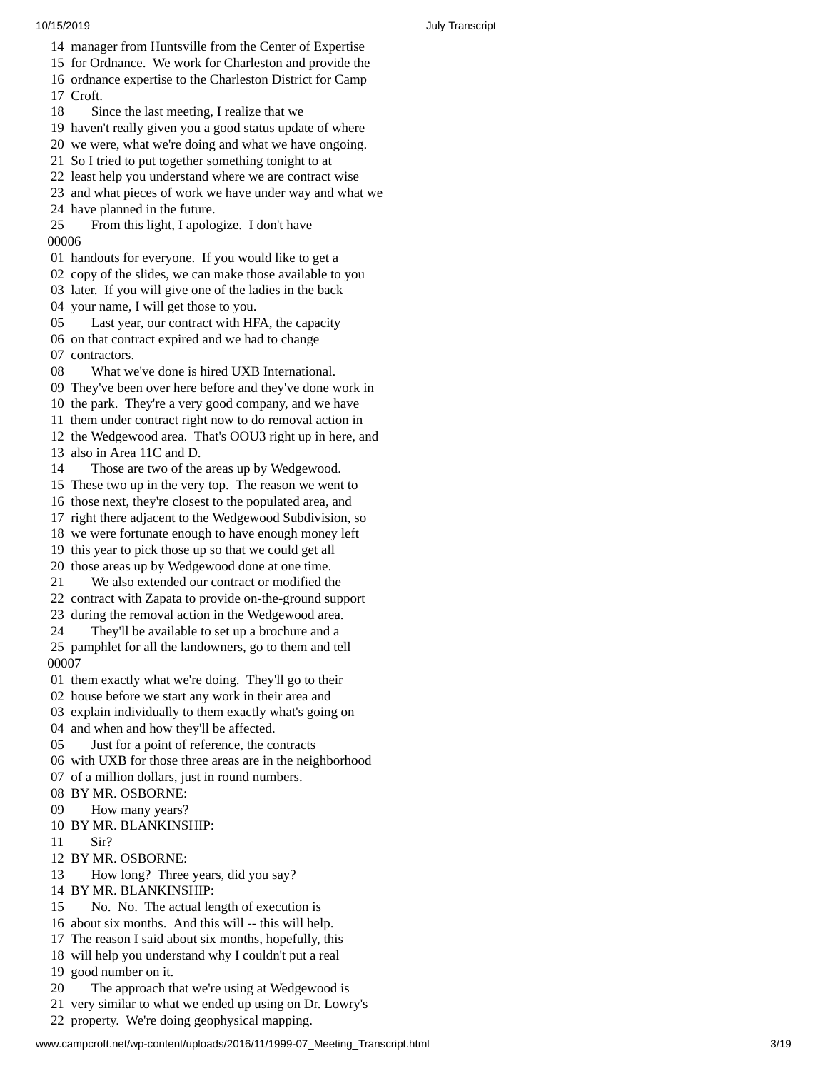- 14 manager from Huntsville from the Center of Expertise
- 15 for Ordnance. We work for Charleston and provide the 16 ordnance expertise to the Charleston District for Camp
- 17 Croft.
- 18 Since the last meeting, I realize that we
- 19 haven't really given you a good status update of where
- 20 we were, what we're doing and what we have ongoing.
- 21 So I tried to put together something tonight to at
- 22 least help you understand where we are contract wise
- 23 and what pieces of work we have under way and what w e 24 have planned in the future.
- 25 From this light, I apologize. I don't have 0 0 0 0 6
- 01 handouts for everyone. If you would like to get a
- 02 copy of the slides, we can make those available to you
- 03 later. If you will give one of the ladies in the back
- 04 your name, I will get those to you.
- 05 Last year, our contract with HFA, the capacity 06 on that contract expired and we had to change 07 contractors.
- 08 What we've done is hired UXB International.
- 09 They've been over here before and they've done work in
- 10 the park. They're a very good company, and we have
- 11 them under contract right now to do removal action in
- 12 the Wedgewood area. That's OOU3 right up in here, and 13 also in Area 11C and D.
- 14 Those are two of the areas up by Wedgewood.
- 15 These two up in the very top. The reason we wen t t o
- 16 those next, they're closest to the populated area, and
- 17 right there adjacent to the Wedgewood Subdivision, so
- 18 we were fortunate enough to have enough money left
- 19 this year to pick those up so that we could get all
- 20 those areas up by Wedgewood done at one time.
- 21 We also extended our contract or modified th e
- 2 2 contract with Zapata to provide on-the-ground support
- 2 3 during the removal action in the Wedgewood area.
- 24 They'll be available to set up a brochure and a 25 pamphlet for all the landowners, go to them and tell 0 0 0 0 7
- 01 them exactly what we're doing. They'll go to their
- 02 house before we start any work in their area and
- 03 explain individually to them exactly what's going on
- 04 and when and how they'll be affected.
- 05 Just for a point of reference, the contracts
- 06 with UXB for those three areas are in the neighborhood
- 07 of a million dollars, just in round numbers.
- 08 BY MR. OSBORNE:
- 09 How many years?
- 10 BY MR. BLANKINSHIP:
- 11 Sir?
- 12 BY MR. OSBORNE:
- 13 How long? Three years, did you say?
- 14 BY MR. BLANKINSHIP:
- 15 No. No. The actual length of execution is
- 16 about six months. And this will -- this will help.
- 17 The reason I said about six months, hopefully, th i s
- 18 will help you understand why I couldn't put a real
- 1 9 good number on it.
- 20 The approach that we're using at Wedgewood is
- 21 very similar to what we ended up using on Dr. Lowry's
- 22 property. We're doing geophysical mapping.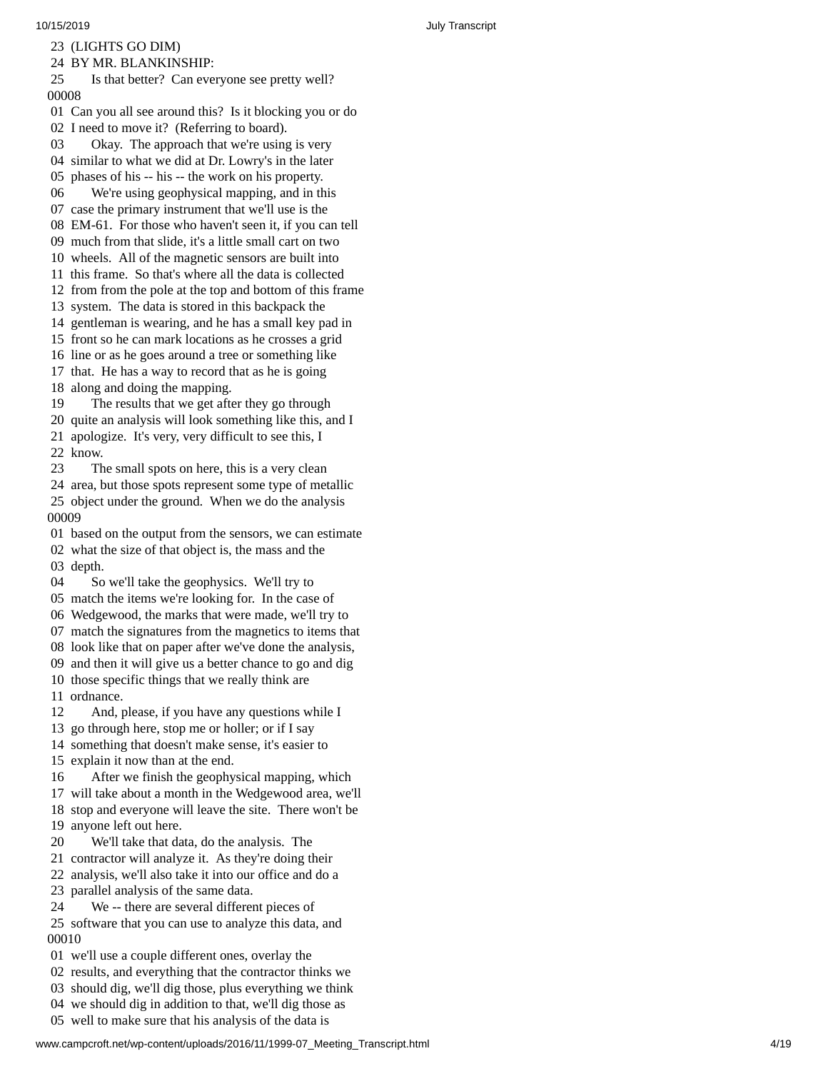23 (LIGHTS GO DIM)

24 BY MR. BLANKINSHIP:

25 Is that better? Can everyone see pretty well? 0 0 0 0 8

01 Can you all see around this? Is it blocking you or do 02 I need to move it? (Referring to board).

03 Okay. The approach that we're using is very 04 similar to what we did at Dr. Lowry's in the later

05 phases of his -- his -- the work on his property.

06 We're using geophysical mapping, and in th i s 07 case the primary instrument that we'll use is the

08 EM-61. For those who haven't seen it, if you can tell

09 much from that slide, it's a little small cart on two

10 wheels. All of the magnetic sensors are built into

11 this frame. So that's where all the data is collected

12 from from the pole at the top and bottom of this frame

13 system. The data is stored in this backpack the

14 gentleman is wearing, and he has a small key pad in

15 front so he can mark locations as he crosses a grid

16 line or as he goes around a tree or something like

17 that. He has a way to record that as he is going

18 along and doing the mapping.

19 The results that we get after they go through

20 quite an analysis will look something like this, and I 21 apologize. It's very, very difficult to see this, I

22 know.

23 The small spots on here, this is a very clean 24 area, but those spots represent some type of metallic 25 object under the ground. When we do the analysis

0 0 0 0 9

01 based on the output from the sensors, we can estimate

02 what the size of that object is, the mass and the 03 depth.

04 So we'll take the geophysics. We'll try to

05 match the items we're looking for. In the case of

06 Wedgewood, the marks that were made, we'll try to

07 match the signatures from the magnetics to items that

08 look like that on paper after we've done the analysis,

09 and then it will give us a better chance to go and dig

10 those specific things that we really think are

11 ordnance.

12 And, please, if you have any questions while I

13 go through here, stop me or holler; or if I say

14 something that doesn't make sense, it's easier to

15 explain it now than at the end.

16 After we finish the geophysical mapping, which

17 will take about a month in the Wedgewood area, we'll

18 stop and everyone will leave the site. There won't be 1 9 anyone left out here.

20 We'll take that data, do the analysis. The

21 contractor will analyze it. As they're doing their

22 analysis, we'll also take it into our office and do a

2 3 parallel analysis of the same data.

24 We -- there are several different pieces of

25 software that you can use to analyze this data, and 0 0 0 1 0

01 we'll use a couple different ones, overlay the

02 results, and everything that the contractor thinks we

03 should dig, we'll dig those, plus everything we think

04 we should dig in addition to that, we'll dig those as 05 well to make sure that his analysis of the data is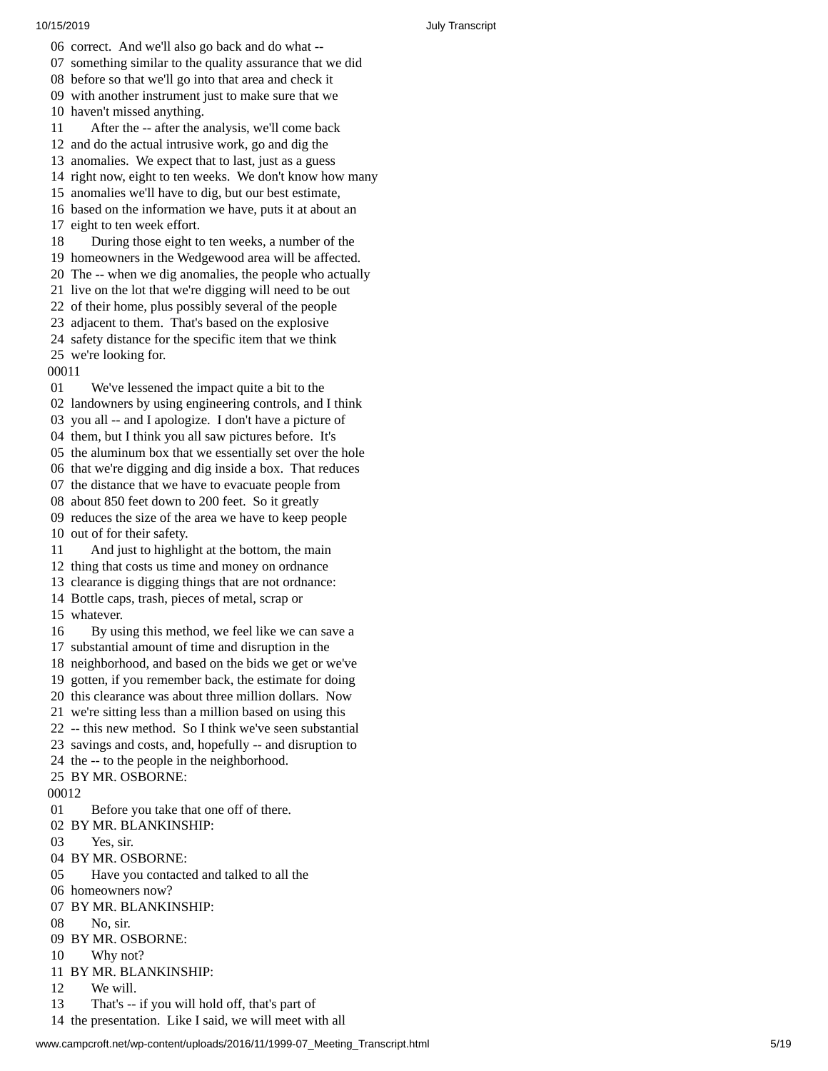- 06 correct. And we'll also go back and do what --07 something similar to the quality assurance that we did
- 08 before so that we'll go into that area and check it
- 09 with another instrument just to make sure that we
- 10 haven't missed anything.
- 11 After the -- after the analysis, we'll come back
- 12 and do the actual intrusive work, go and dig the
- 13 anomalies. We expect that to last, just as a guess
- 14 right now, eight to ten weeks. We don't know how many
- 15 anomalies we'll have to dig, but our best estimate,
- 16 based on the information we have, puts it at about an
- 1 7 eight to ten week effort.
- 18 During those eight to ten weeks, a number of the
- 19 homeowners in the Wedgewood area will be affected.
- 20 The -- when we dig anomalies, the people who actually
- 21 live on the lot that we're digging will need to be out
- 22 of their home, plus possibly several of the people
- 23 adjacent to them. That's based on the explosive
- 24 safety distance for the specific item that we think 25 we're looking for.
- 00011
- 01 We've lessened the impact quite a bit to the
- 02 landowners by using engineering controls, and I think
- 03 you all -- and I apologize. I don't have a picture of
- 04 them, but I think you all saw pictures before. It's
- 05 the aluminum box that we essentially set over the hole
- 06 that we're digging and dig inside a box. That reduces
- 07 the distance that we have to evacuate people from
- 08 about 850 feet down to 200 feet. So it greatly
- 09 reduces the size of the area we have to keep people 10 out of for their safety.
- 11 And just to highlight at the bottom, the main
- 12 thing that costs us time and money on ordnance
- 13 clearance is digging things that are not ordnance:
- 14 Bottle caps, trash, pieces of metal, scrap or
- 15 whatever.
- 16 By using this method, we feel like we can save a
- 17 substantial amount of time and disruption in the
- 18 neighborhood, and based on the bids we get or we've
- 19 gotten, if you remember back, the estimate for doing
- 20 this clearance was about three million dollars. Now
- 21 we're sitting less than a million based on using this
- 22 -- this new method. So I think we've seen substantial
- 23 savings and costs, and, hopefully -- and disruption to
- 24 the -- to the people in the neighborhood. 25 BY MR. OSBORNE:

- 00012
- 01 Before you take that one off of there.
- 02 BY MR. BLANKINSHIP:
- 03 Yes, sir.
- 04 BY MR. OSBORNE:
- 05 Have you contacted and talked to all t h e
- 06 homeowners now?
- 07 BY MR. BLANKINSHIP:
- 08 No, sir.
- 09 BY MR. OSBORNE:
- 10 Why not?
- 11 BY MR. BLANKINSHIP:
- 12 We will.
- 13 That's -- if you will hold off, that's part of
- 14 the presentation. Like I said, we will meet with all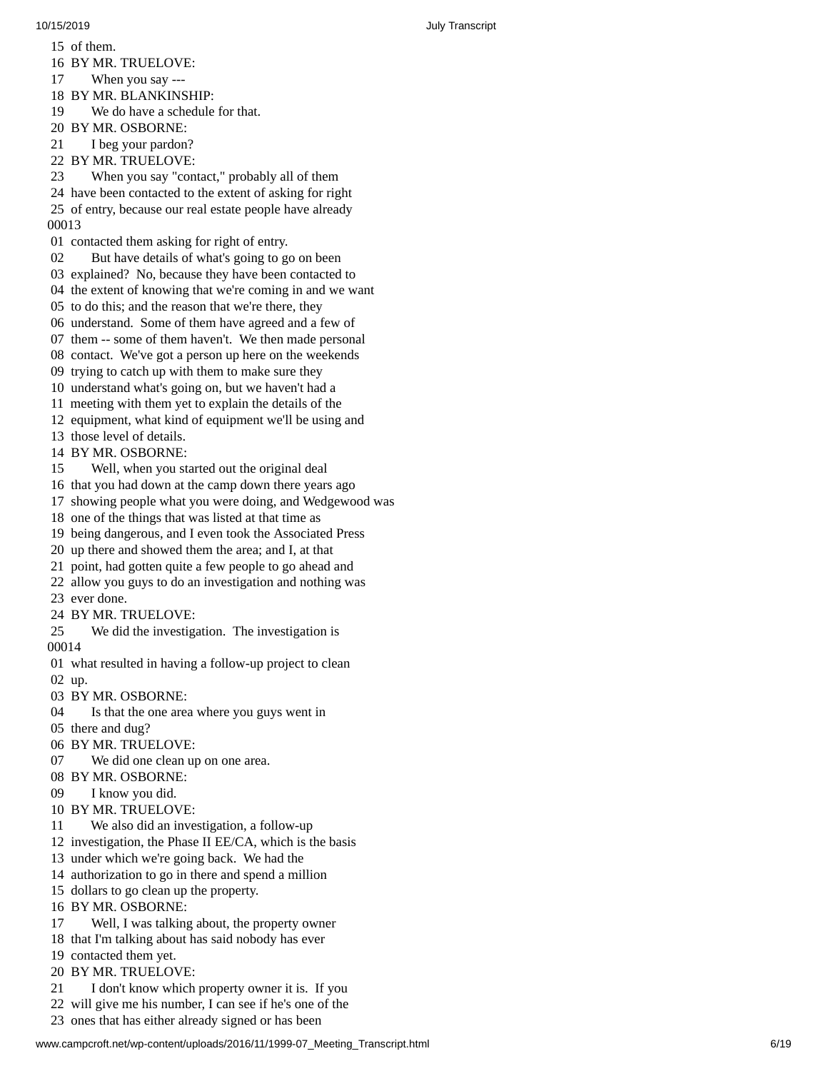1 5 o f t h e m.

- 16 BY MR. TRUELOVE:
- 17 When you say ---

18 BY MR. BLANKINSH I P:

- 19 We do have a schedule for that.
- 20 BY MR. OSBORNE:

21 I beg your pardon?

22 BY MR. TRUELOVE:

23 When you say "contact," probably all of them

24 have been contacted to the extent of asking for right 25 of entry, because our real estate people have already 0 0 0 1 3

01 contacted them asking for right of entry.

02 But have details of what's going to go on been

03 explained? No, because they have been contacted to

04 the extent of knowing that we're coming in and we want

05 to do this; and the reason that we're there, they

06 understand. Some of them have agreed and a few of

07 them -- some of them haven't. We then made personal

- 08 contact. We've got a person up here on the weekends
- 09 trying to catch up with them to make sure they
- 10 understand what's going on, but we haven't had a
- 11 meeting with them yet to explain the details of the
- 12 equipment, what kind of equipment we'll be using and
- 13 those level of details.

14 BY MR. OSBORNE:

- 15 Well, when you started out the original deal
- 16 that you had down at the camp down there years ago
- 17 showing people what you were doing, and Wedgewood was
- 18 one of the things that was listed at that time as
- 19 being dangerous, and I even took the Associated Press
- 20 up there and showed them the area; and I, at that
- 21 point, had gotten quite a few people to go ahead and
- 22 allow you guys to do an investigation and nothing was
- 23 ever done.
- 24 BY MR. TRUELOVE:
- 25 We did the investigation. The investigation is 0 0 0 1 4
- 01 what resulted in having a follow-up project to clean 0 2 u p.
- 03 BY MR. OSBORNE:
- 04 Is that the one area where you guys went in
- 05 there and dug?
- 06 BY MR. TRUELOVE:
- 07 We did one clean up on one area.
- 08 BY MR. OSBORNE:
- 09 I know you did.
- 10 BY MR. TRUELOVE:
- 11 We also did an investigation, a follow-up
- 12 investigation, the Phase II EE/CA, which is the basis
- 13 under which we're going back. We had the
- 14 authorization to go in there and spend a million
- 15 dollars to go clean up the property.
- 16 BY MR. OSBORNE:
- 17 Well, I was talking about, the property owner
- 18 that I'm talking about has said nobody has ever
- 19 contacted them yet.
- 20 BY MR. TRUELOV E:
- 21 I don't know which property owner it is. If you
- 22 will give me his number, I can see if he's one of the
- 23 ones that has either already signed or has been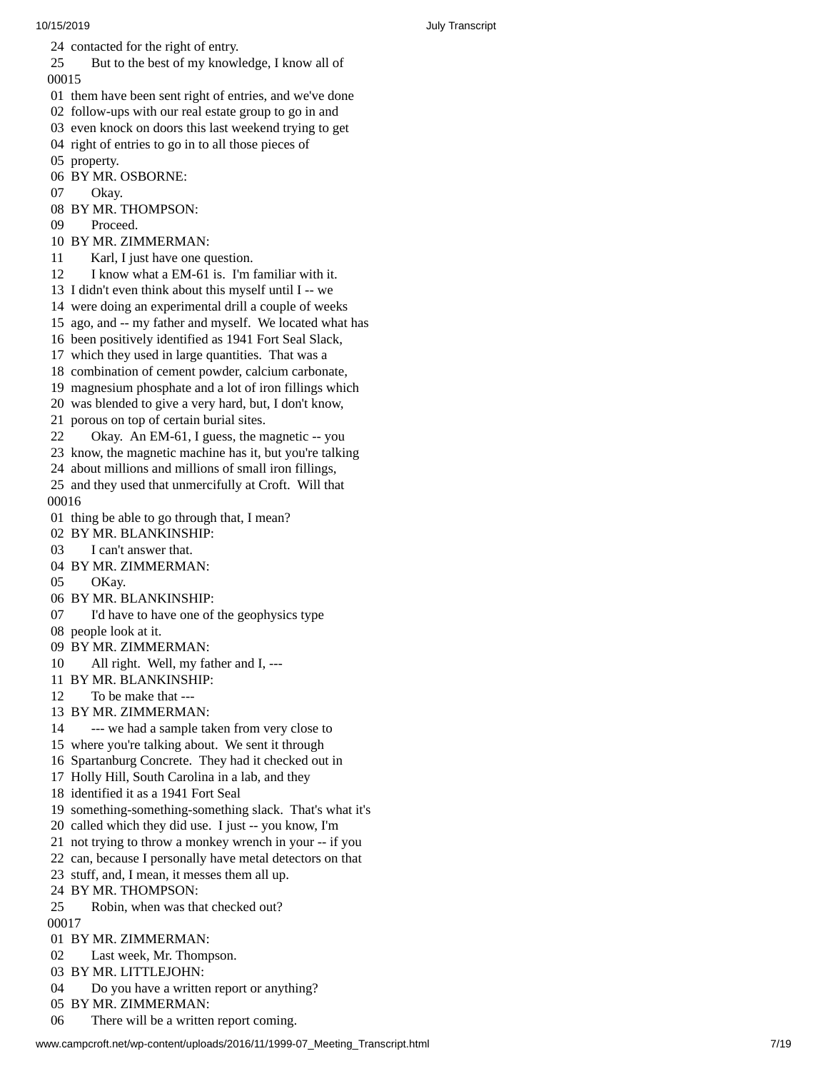10/15/2019 July Transcript 24 contacted for the right of entry. 25 But to the best of my knowledge, I know all of 0 0 0 1 5 01 them have been sent right of entries, and we've done 02 follow-ups with our real estate group to go in and 03 even knock on doors this last weekend trying to get 04 right of entries to go in to all those pieces of 05 property. 06 BY MR. OSBORNE: 07 Okay. 08 BY MR. THOMPSON: 09 Proceed. 10 BY MR. ZIMMERMAN: 11 Karl, I just have one question. 12 I know what a EM-61 is. I'm familiar with it. 13 I didn't even think about this myself until I -- we 14 were doing an experimental drill a couple of week s 15 ago, and -- my father and myself. We located what has 16 been positively identified as 1941 Fort Seal Slack, 17 which they used in large quantities. That was a 18 combination of cement powder, calcium carbonate, 19 magnesium phosphate and a lot of iron fillings which 20 was blended to give a very hard, but, I don't know, 21 porous on top of certain burial sites. 22 Okay. An EM-61, I guess, the magnetic -- you 23 know, the magnetic machine has it, but you're talking 24 about millions and millions of small iron fillings,

03 I can't answer that. 04 BY MR. ZIMMERMAN: 05 OKay. 06 BY MR. BLANKINSHIP: 07 I'd have to have one of the geophysics type 08 people look at it. 09 BY MR. ZIMMERMAN: 10 All right. Well, my father and I, ---11 BY MR. BLANKINSHIP: 12 To be make that --- 13 BY MR. ZIMMERMAN: 14 --- we had a sample taken from very close to 15 where you're talking about. We sent it through 16 Spartanburg Concrete. They had it checked out in 17 Holly Hill, South Carolina in a lab, and they 18 identified it as a 1941 Fort Seal 19 something-something-something slack. That's what it's 20 called which they did use. I just -- you know, I'm 21 not trying to throw a monkey wrench in your -- if you 22 can, because I personally have metal detectors on that 23 stuff, and, I mean, it messes them all up. 24 BY MR. THOMPSON: 25 Robin, when was that checked out? 00017 01 BY MR. ZIMMERMAN: 02 Last week, Mr. Thompson. 03 BY MR. LITTLEJOHN:

25 and they used that unmercifully at Croft. Will that

01 thing be able to go through that, I mean?

02 BY MR. BLANKINSHIP:

0 0 0 1 6

- 04 Do you have a written report or anything?
- 05 BY MR. ZIMMERMAN:
- 06 There will be a written report coming.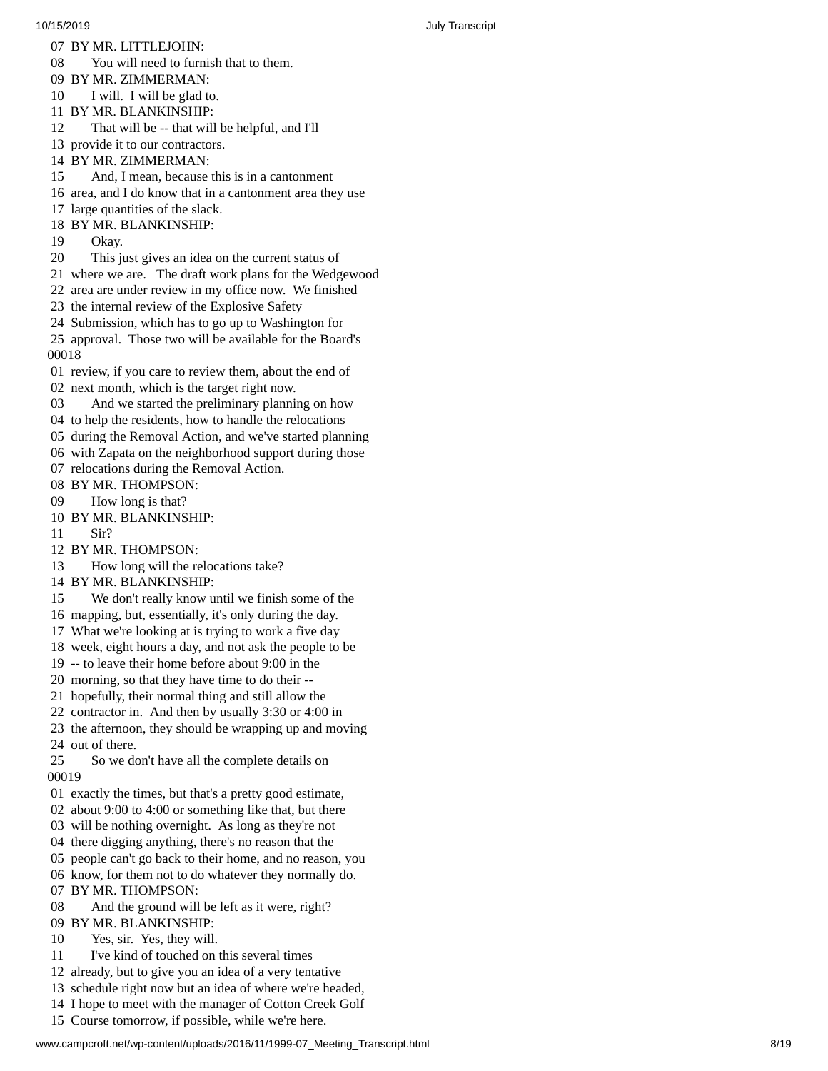- 07 BY MR. LITTLEJOHN:
- 08 You will need to furnish that to them.
- 09 BY MR. ZIMMERMAN:
- 10 I will. I will be glad to.
- 11 BY MR. BLANKINSHIP:
- 12 That will be -- that will be helpful, and I'll
- 13 provide it to our contractors.
- 14 BY MR. ZIMMERMAN:
- 15 And, I mean, because this is in a cantonment
- 16 area, and I do know that in a cantonment area they use
- 17 large quantities of the slack.
- 18 BY MR. BLANKINSHIP:
- 19 Okay.
- 20 This just gives an idea on the current status of
- 21 where we are. The draft work plans for the Wedgewood
- 22 area are under review in my office now. We finished
- 23 the internal review of the Explosive Safety
- 24 Submission, which has to go up to Washington for

25 approval. Those two will be available for the Board's 0 0 0 1 8

- 01 review, if you care to review them, about the end of 02 next month, which is the target right now.
- 03 And we started the preliminary planning on how
- 04 to help the residents, how to handle the relocations
- 
- 05 during the Removal Action, and we've started planning
- 06 with Zapata on the neighborhood support during those 07 relocations during the Removal Action.
- 08 BY MR. THOMPSON:
- 09 How long is that?
- 10 BY MR. BLANKINSHIP:
- 11 Sir?
- 12 BY MR. THOMPSON:
- 13 How long will the relocations take?
- 14 BY MR. BLANKINSHIP:
- 15 We don't really know until we finish some of the
- 16 mapping, but, essentially, it's only during the day.
- 17 What we're looking at is trying to work a five day
- 18 week, eight hours a day, and not ask the people to b e
- 19 -- to leave their home before about 9:00 in the
- 20 morning, so that they have time to do their --
- 21 hopefully, their normal thing and still allow the
- 22 contractor in. And then by usually 3:30 or 4:00 in
- 23 the afternoon, they should be wrapping up and moving 24 out of there.
- 25 So we don't have all the complete details on 0 0 0 1 9
- 01 exactly the times, but that's a pretty good estimate,
- 02 about 9:00 to 4:00 or something like that, but there
- 03 will be nothing overnight. As long as they're not
- 04 there digging anything, there's no reason that the
- 05 people can't go back to their home, and no reason, you
- 06 know, for them not to do whatever they normally do.
- 07 BY MR. THOMPSON:
- 08 And the ground will be left as it were, right?
- 09 BY MR. BLANKINSHIP:
- 10 Yes, sir. Yes, they will.
- 11 I've kind of touched on this several times
- 12 already, but to give you an idea of a very tentative
- 13 schedule right now but an idea of where we're headed ,
- 14 I hope to meet with the manager of Cotton Creek Golf
- 15 Course tomorrow, if possible, while we're here.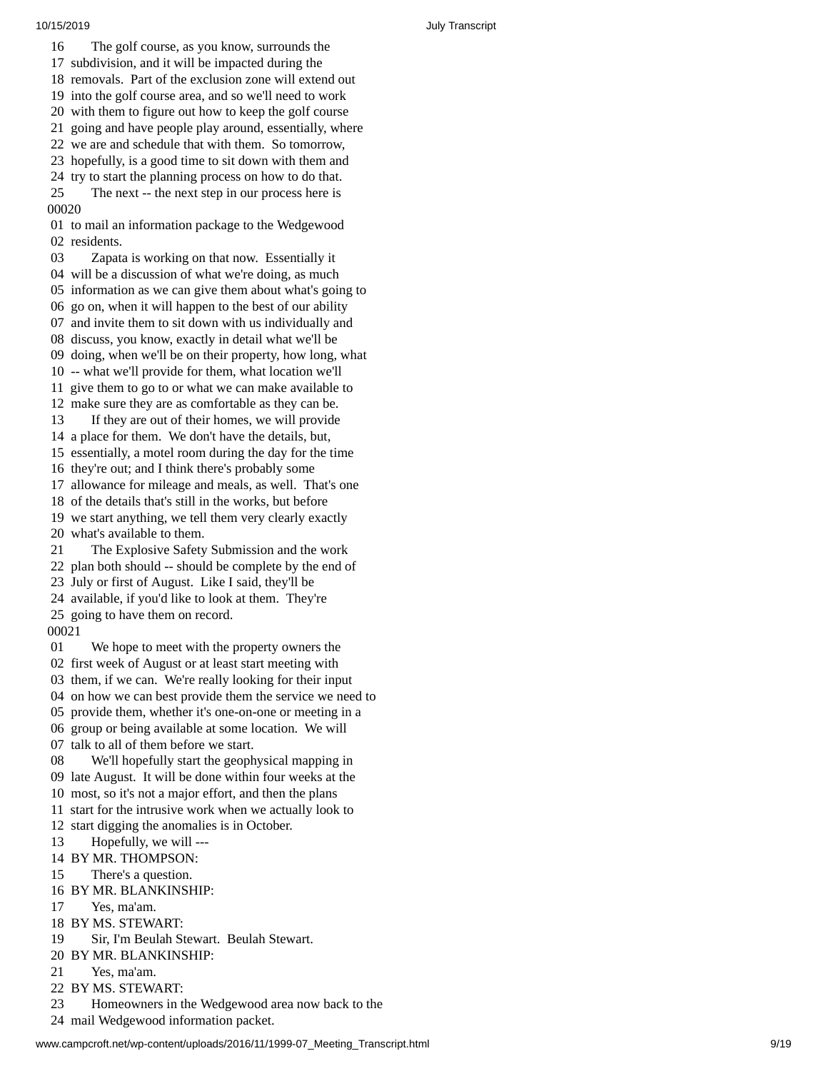1 6 The golf course, as you know, surrounds the 1 7 subdivision, and it will be impacted during the

18 removals. Part of the exclusion zone will extend out

19 into the golf course area, and so we'll need to work

20 with them to figure out how to keep the golf course 21 going and have people play around, essentially, where

22 we are and schedule that with them. So tomorrow,

23 hopefully, is a good time to sit down with them and

24 try to start the planning process on how to do that.

25 The next -- the next step in our process here is 00020

01 to mail an information package to the Wedgewood 02 residents.

03 Zapata is working on that now. Essentially it 04 will be a discussion of what we're doing, as much

05 information as we can give them about what's going to

0 6 go on, when it will happen to the best of our ability

07 and invite them to sit down with us individually and 08 discuss, you know, exactly in detail what we'll be

09 doing, when we'll be on their property, how long, what

10 -- what we'll provide for them, what location we'll

11 give them to go to or what we can make available to

12 make sure they are as comfortable as they can be.

13 If they are out of their homes, we will provide

14 a place for them. We don't have the details, but,

15 essentially, a motel room during the day for the tim e

16 they're out; and I think there's probably some

17 allowance for mileage and meals, as well. That's one

18 of the details that's still in the works, but before

19 we start anything, we tell them very clearly exactly 20 what's available to them.

21 The Explosive Safety Submission and the work 22 plan both should -- should be complete by the end of

23 July or first of August. Like I said, they'll be

24 available, if you'd like to look at them. They're

25 going to have them on record.

00021

01 We hope to meet with the property owners the 02 first week of August or at least start meeting with 03 them, if we can. We're really looking for their input 04 on how we can best provide them the service we need to 05 provide them, whether it's one-on-one or meeting in a 06 group or being available at some location. We will

07 talk to all of them before we start.

08 We'll hopefully start the geophysical mapping in 09 late August. It will be done within four weeks at the 10 most, so it's not a major effort, and then the plans

11 start for the intrusive work when we actually look to

1 2 start digging the anomalies is in October.

13 Hopefully, we will ---

14 BY MR. THOMPSON:

15 There's a question.

16 BY MR. BLANKINSHIP:

17 Yes, ma'am.

18 BY MS. STEWART:

19 Sir, I'm Beulah Stewart. Beulah Stewart.

20 BY MR. BLANKINSHIP:

21 Yes, ma'am.

22 BY MS. STEWART:

23 Homeowners in the Wedgewood area now back to the

24 mail Wedgewood information packet.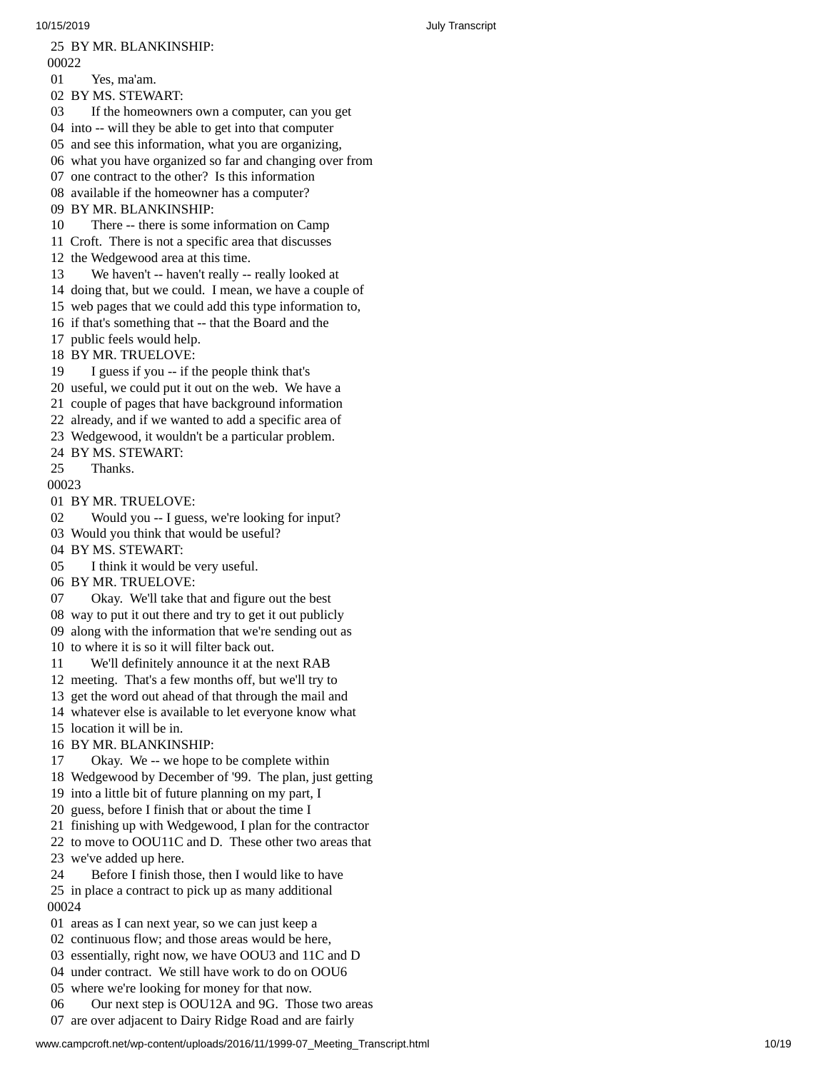2 5 B Y M R. B L A N K I N S H I P: 00022 01 Yes, ma'am. 02 BY MS. STEWART: 03 If the homeowners own a computer, can you get 04 into -- will they be able to get into that computer 05 and see this information, what you are organizing, 06 what you have organized so far and changing over from 07 one contract to the other? Is this information 08 available if the homeowner has a computer? 09 BY MR. BLANKINSHIP: 10 There -- there is some information on Camp 11 Croft. There is not a specific area that discusses 12 the Wedgewood area at this time. 13 We haven't -- haven't really -- really looked at 14 doing that, but we could. I mean, we have a couple of 1 5 web pages that we could add this type information to, 16 if that's something that -- that the Board and the 1 7 public feels would help. 18 BY MR. TRUELOVE: 19 I guess if you -- if the people think that's 20 useful, we could put it out on the web. We have a 21 couple of pages that have background information 22 already, and if we wanted to add a specific area of 23 Wedgewood, it wouldn't be a particular problem. 24 BY MS. STEWART: 25 Thanks. 00023 01 BY MR. TRUELOVE: 02 Would you -- I guess, we're looking for input ? 03 Would you think that would be useful? 04 BY MS. STEWART: 05 I think it would be very useful. 06 BY MR. TRUELOVE: 07 Okay. We'll take that and figure out the best 08 way to put it out there and try to get it out publicly 09 along with the information that we're sending out as 10 to where it is so it will filter back out. 11 We'll definitely announce it at the next RAB 12 meeting. That's a few months off, but we'll try to 13 get the word out ahead of that through the mail and 14 whatever else is available to let everyone know what 15 location it will be in. 16 BY MR. BLANKINSHIP: 17 Okay. We -- we hope to be complete within 18 Wedgewood by December of '99. The plan, just getting 19 into a little bit of future planning on my part, I 20 guess, before I finish that or about the time I 21 finishing up with Wedgewood, I plan for the contractor 22 to move to OOU11C and D. These other two areas that 2 3 we've added up here. 24 Before I finish those, then I would like to have 25 in place a contract to pick up as many additional 0 0 0 2 4 01 areas as I can next year, so we can just keep a 02 continuous flow; and those areas would be here, 03 essentially, right now, we have OOU3 and 11C and D 04 under contract. We still have work to do on OOU6 05 where we're looking for money for that now.

06 Our next step is OOU12A and 9G. Those two areas 07 are over adjacent to Dairy Ridge Road and are fairly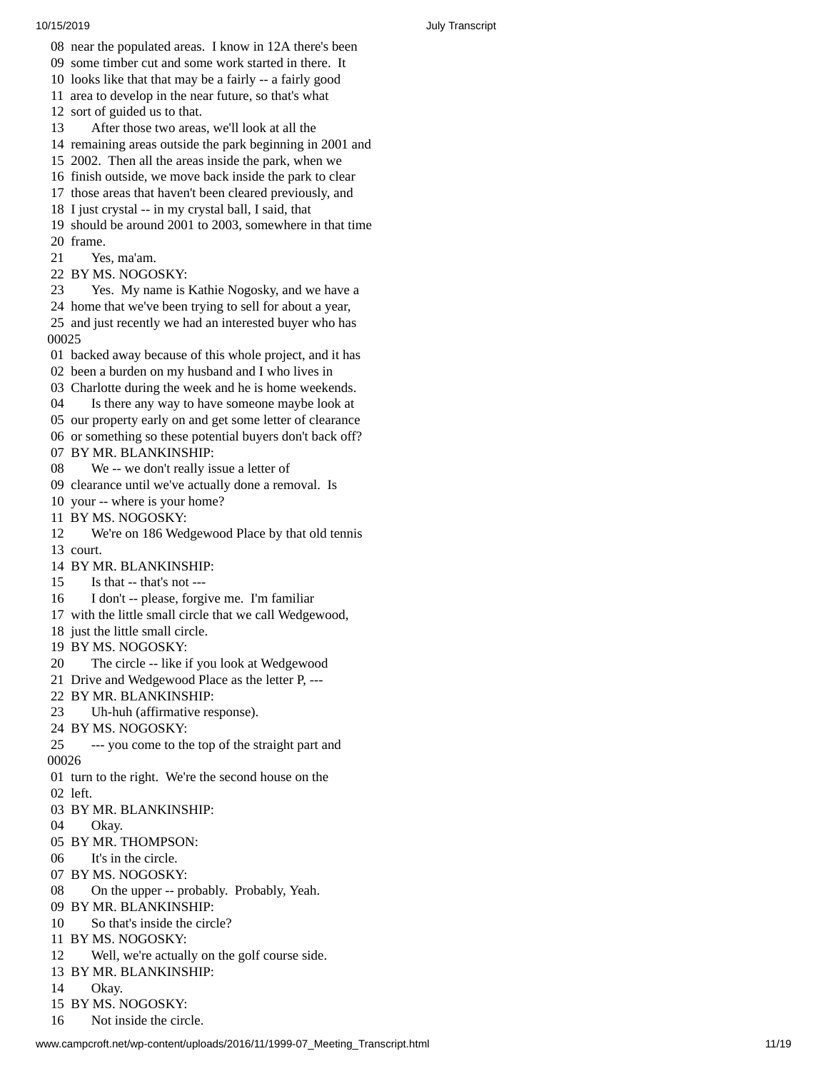- 08 near the populated areas. I know in 12A there's been
- 09 some timber cut and some work started in there. It
- 10 looks like that that may be a fairly -- a fairly good
- 11 area to develop in the near future, so that's what

12 sort of guided us to that.

- 13 After those two areas, we'll look at all the
- 14 remaining areas outside the park beginning in 2001 and
- 15 2002. Then all the areas inside the park, when we
- 16 finish outside, we move back inside the park to clear
- 17 those areas that haven't been cleared previously, and
- 18 I just crystal -- in my crystal ball, I said, that
- 19 should be around 2001 to 2003, somewhere in that time 0 f r a m e.
- 21 Yes, ma'am.
- 22 BY MS. NOGOSKY:
- 23 Yes. My name is Kathie Nogosky, and we have a 24 home that we've been trying to sell for about a year, 25 and just recently we had an interested buyer who has 0 0 2 5
- 01 backed away because of this whole project, and it has
- 02 been a burden on my husband and I who lives in
- 03 Charlotte during the week and he is home weekends. Is there any way to have someone maybe look at
- our property early on and get some letter of clearance or something so these potential buyers don't back off? BY MR. BLANKINSHIP:
- 08 We -- we don't really issue a letter of
- clearance until we've actually done a removal. Is
- your -- where is your home?
- BY MS. NOGOSKY:
- We're on 186 Wedgewood Place by that old tennis court.
- BY MR. BLANKINSHIP:
- Is that -- that's not ---
- I don't -- please, forgive me. I'm familiar
- with the little small circle that we call Wedgewood,
- just the little small circle.
- BY MS. NOGOSKY:
- The circle -- like if you look at Wedgewood
- Drive and Wedgewood Place as the letter P, ---
- BY MR. BLANKINSHIP:
- Uh-huh (affirmative response).
- BY MS. NOGOSKY:
- --- you come to the top of the straight part and
- turn to the right. We're the second house on the left.
- BY MR. BLANKINSHIP:
- Okay.
- BY MR. THOMPSON:
- It's in the circle.
- BY MS. NOGOSKY:
- On the upper -- probably. Probably, Yeah.
- BY MR. BLANKINSHIP:
- So that's inside the circle?
- BY MS. NOGOSKY:
- Well, we're actually on the golf course side.
- BY MR. BLANKINSHIP:
- Okay.
- BY MS. NOGOSKY:
- Not inside the circle.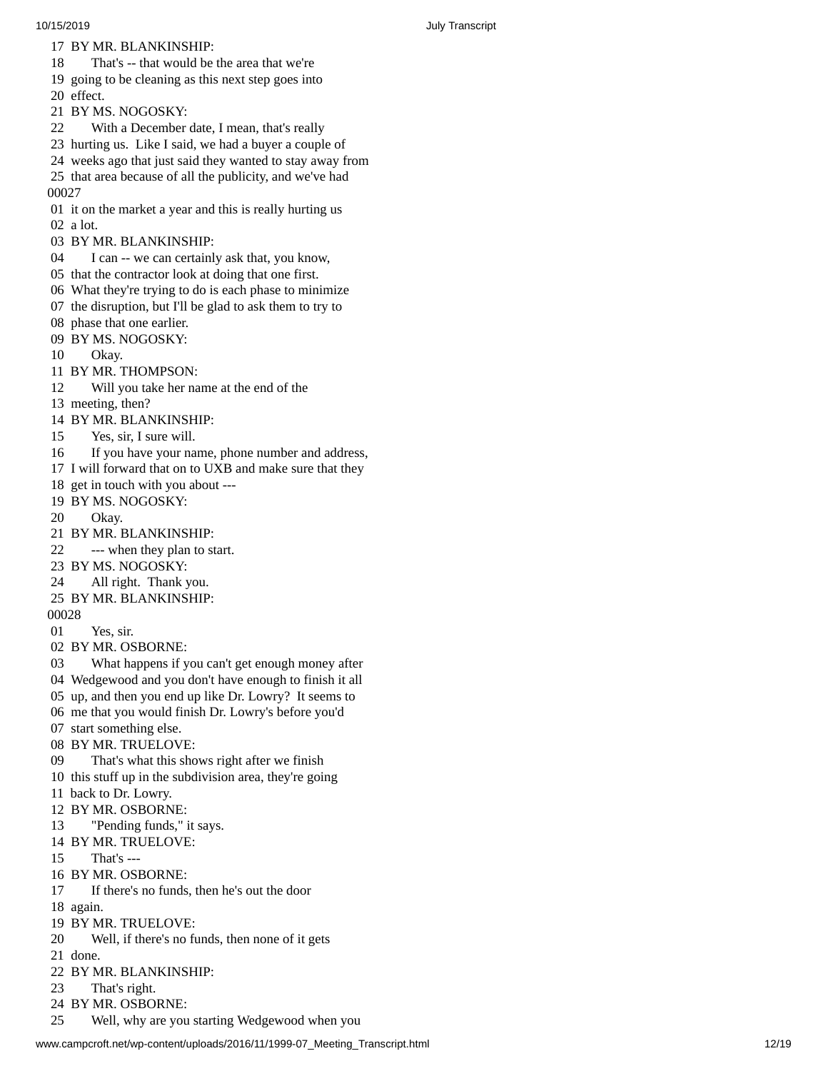17 BY MR. BLANKINSHIP:

18 That's -- that would be the area that we're

19 going to be cleaning as this next step goes into

- 20 effect.
- 21 BY MS. NOGOSKY:
- 22 With a December date, I mean, that's really
- 23 hurting us. Like I said, we had a buyer a couple of
- 24 weeks ago that just said they wanted to stay away from
- 25 that area because of all the publicity, and we've had 0 0 0 2 7
- 01 it on the market a year and this is really hurting us 02 a lot.
- 03 BY MR. BLANKINSHIP:
- 04 I can -- we can certainly ask that, you know,
- 05 that the contractor look at doing that one first.
- 06 What they're trying to do is each phase to minimize
- 07 the disruption, but I'll be glad to ask them to try to
- 08 phase that one earlier.
- 09 BY MS. NOGOSKY:
- 10 Okay.
- 11 BY MR. THOMPSON:
- 12 Will you take her name at the end of the
- 13 meeting, then?
- 14 BY MR. BLANKINSHIP:
- 15 Yes, sir, I sure will.
- 16 If you have your name, phone number and address,
- 17 I will forward that on to UXB and make sure that they
- 18 get in touch with you about ---
- 19 BY MS. NOGOSKY:
- 20 Okay.
- 21 BY MR. BLANKINS H I P:
- 22 --- when they plan to start.
- 23 BY MS. NOGOSKY:
- 24 All right. Thank you.
- 25 BY MR. BLANKINSHIP:
- 00028
- 01 Yes, sir.
- 02 BY MR. OSBORNE:
- 03 What happens if you can't get enough money after
- 04 Wedgewood and you don't have enough to finish it all
- 05 up, and then you end up like Dr. Lowry? It seems to
- 06 me that you would finish Dr. Lowry's before you'd
- 07 start something else.
- 08 BY MR. TRUELOV E:
- 09 That's what this shows right after we finish
- 10 this stuff up in the subdivision area, they're going
- 11 back to Dr. Lowry.
- 12 BY MR. OSBORN E:
- 13 "Pending funds," it says.
- 14 BY MR. TRUELOVE:
- 15 That's ---
- 16 BY MR. OSBORNE:
- 17 If there's no funds, then he's out the door
- 18 again.
- 19 BY MR. TRUELOVE:
- 20 Well, if there's no funds, then none of it gets
- 21 done.
- 22 BY MR. BLANKINSHIP:
- 23 That's right.
- 24 BY MR. OSBORNE:
- 25 Well, why are you starting Wedgewood when you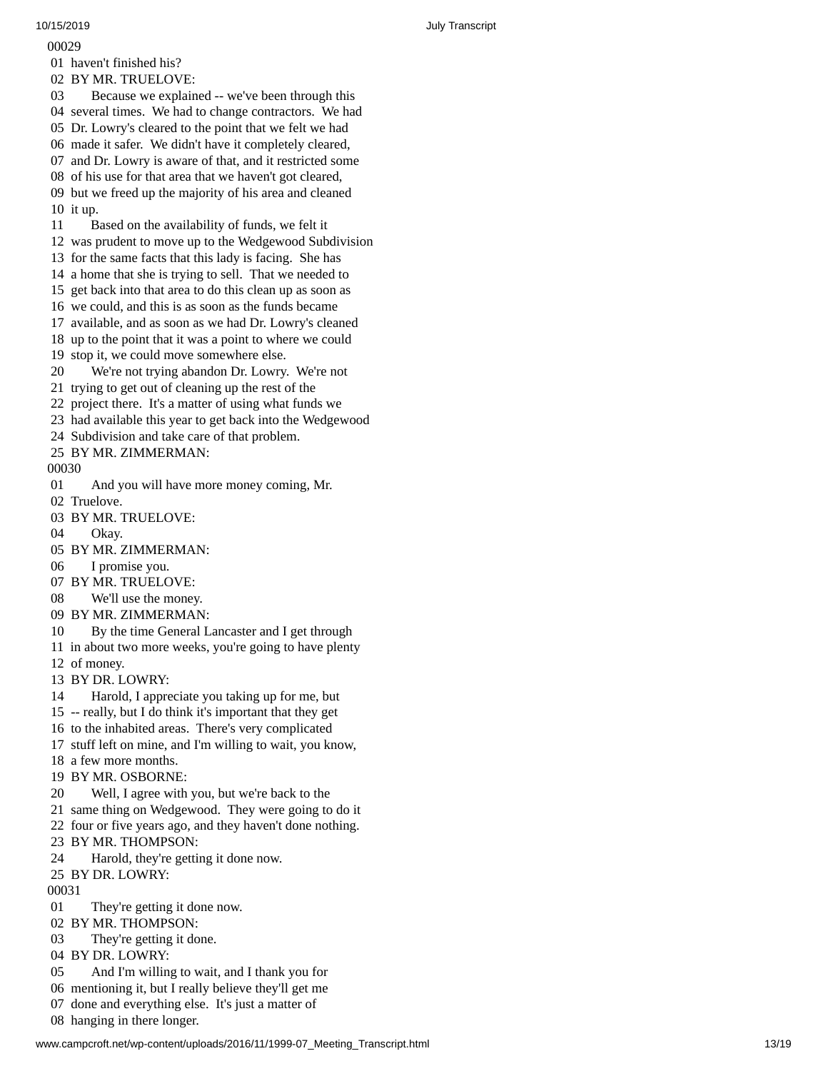0 0 0 2 9 01 haven't finished his? 02 BY MR. TRUELOVE: 03 Because we explained -- we've been through this 04 several times. We had to change contractors. We had 05 Dr. Lowry's cleared to the point that we felt we had 06 made it safer. We didn't have it completely cleared, 07 and Dr. Lowry is aware of that, and it restricted some 08 of his use for that area that we haven't got cleared, 09 but we freed up the majority of his area and cleaned 10 it up. 11 Based on the availability of funds, we felt it 1 2 was prudent to move up to the Wedgewood Subdivision 13 for the same facts that this lady is facing. She has 14 a home that she is trying to sell. That we needed to 15 get back into that area to do this clean up as soon as 16 we could, and this is as soon as the funds became 17 available, and as soon as we had Dr. Lowry's cleaned 18 up to the point that it was a point to where we could 1 9 stop it, we could move somewhere else. 20 We're not trying abandon Dr. Lowry. We're not 21 trying to get out of cleaning up the rest of the 22 project there. It's a matter of using what funds we 23 had available this year to get back into the Wedgewood 24 Subdivision and take care of that problem. 25 BY MR. ZIMMERMAN: 00030 01 And you will have more money coming, Mr. 02 Truelove. 03 BY MR. TRUELOVE: 04 Okay. 05 BY MR. ZIMMERMAN: 06 I promise you. 07 BY MR. TRUELOVE: 08 We'll use the money. 09 BY MR. ZIMMERMAN: 10 By the time General Lancaster and I get through 11 in about two more weeks, you're going to have plenty 12 of money. 13 BY DR. L O W RY: 14 Harold, I appreciate you taking up for me, but 15 -- really, but I do think it's important that they get 16 to the inhabited areas. There's very complicated 17 stuff left on mine, and I'm willing to wait, you know, 18 a few more months. 19 BY MR. OSBORNE: 20 Well, I agree with you, but we're back to the 21 same thing on Wedgewood. They were going to do it 22 four or five years ago, and they haven't done nothing. 23 BY MR. THOMPSON: 24 Harold, they're getting it done now. 25 BY DR. LOWRY: 00031 01 They're getting it done now. 02 BY MR. THOMPSON: 03 They're getting it done. 04 BY DR. LOWRY: 05 And I'm willing to wait, and I thank you for 06 mentioning it, but I really believe they'll get me 07 done and everything else. It's just a matter of 08 hanging in there longer.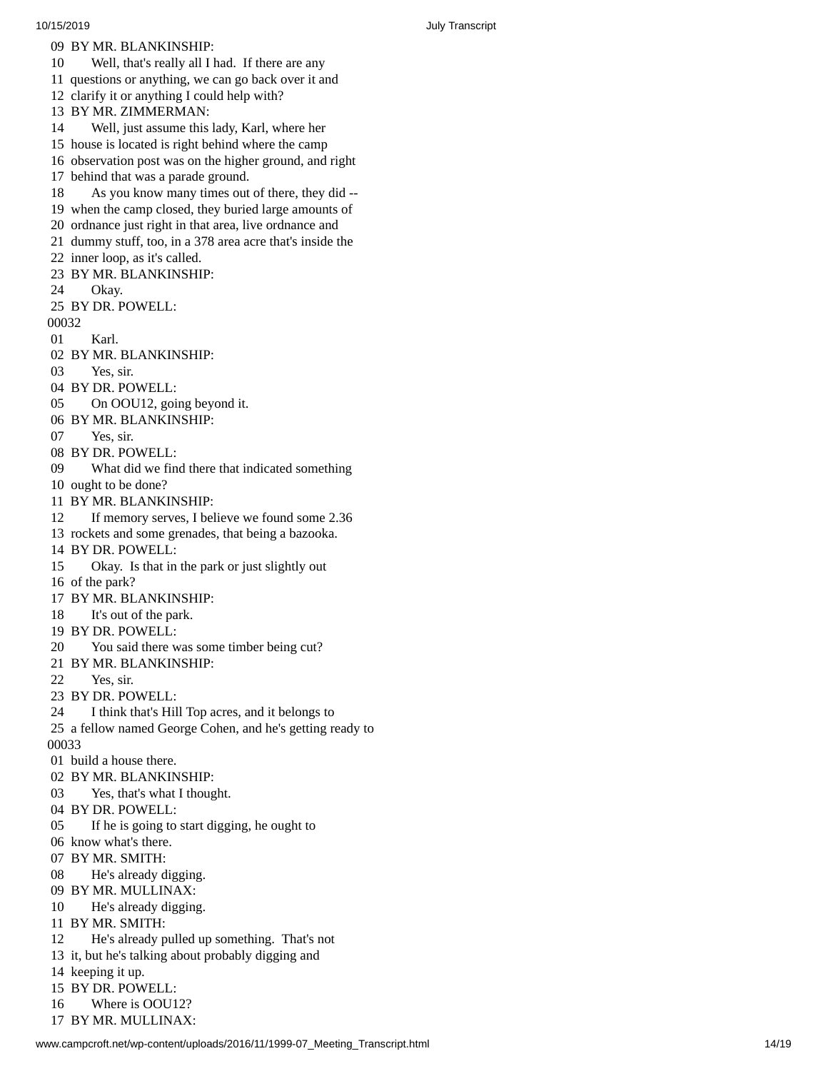10/15/2019 July Transcript 09 BY MR. BLANKINSHIP: 10 Well, that's really all I had. If there are any 11 questions or anything, we can go back over it and 12 clarify it or anything I could help with? 13 BY MR. ZIMMERMAN: 14 Well, just assume this lady, Karl, where her 15 house is located is right behind where the camp 16 observation post was on the higher ground, and right 17 behind that was a parade ground. 18 As you know many times out of there, they did --19 when the camp closed, they buried large amounts of 20 ordnance just right in that area, live ordnance and 21 dummy stuff, too, in a 378 area acre that's inside the 22 inner loop, as it's called. 23 BY MR. BLANKINSHI P: 24 Okay. 25 BY DR. POWELL: 00032 01 Karl. 02 BY MR. BLANKINSHIP: 03 Yes, sir. 04 BY DR. POWELL: 05 On OOU12, going beyond it. 06 BY MR. BLANKINSHIP: 07 Yes, sir. 08 BY DR. POWELL: 09 What did we find there that indicated something 10 ought to be done? 11 BY MR. BLANKINSHIP: 12 If memory serves, I believe we found some 2.36 13 rockets and some grenades, that being a bazooka. 14 BY DR. POWELL: 15 Okay. Is that in the park or just slightly out 16 of the park? 17 BY MR. BLANKINSHIP: 18 It's out of the park. 19 BY DR. POWELL: 20 You said there was some timber being cut? 21 BY MR. BLANKINSHIP: 22 Yes, sir. 23 BY DR. POWELL: 24 I think that's Hill Top acres, and it belongs to 25 a fellow named George Cohen, and he's getting ready to 0 0 0 3 3 01 build a house there. 02 BY MR. BLANKINSHIP: 03 Yes, that's what I thought. 04 BY DR. POWELL: 05 If he is going to start digging, he ought to 06 know what's there. 07 BY MR. SMITH: 08 He's already digging. 09 BY MR. MULLINAX: 10 He's already digging. 11 BY MR. SMITH: 12 He's already pulled up something. That's not 13 it, but he's talking about probably digging and 14 keeping it up. 15 BY DR. POW E L L: 16 Where is OOU12?

17 BY MR. MULLINAX: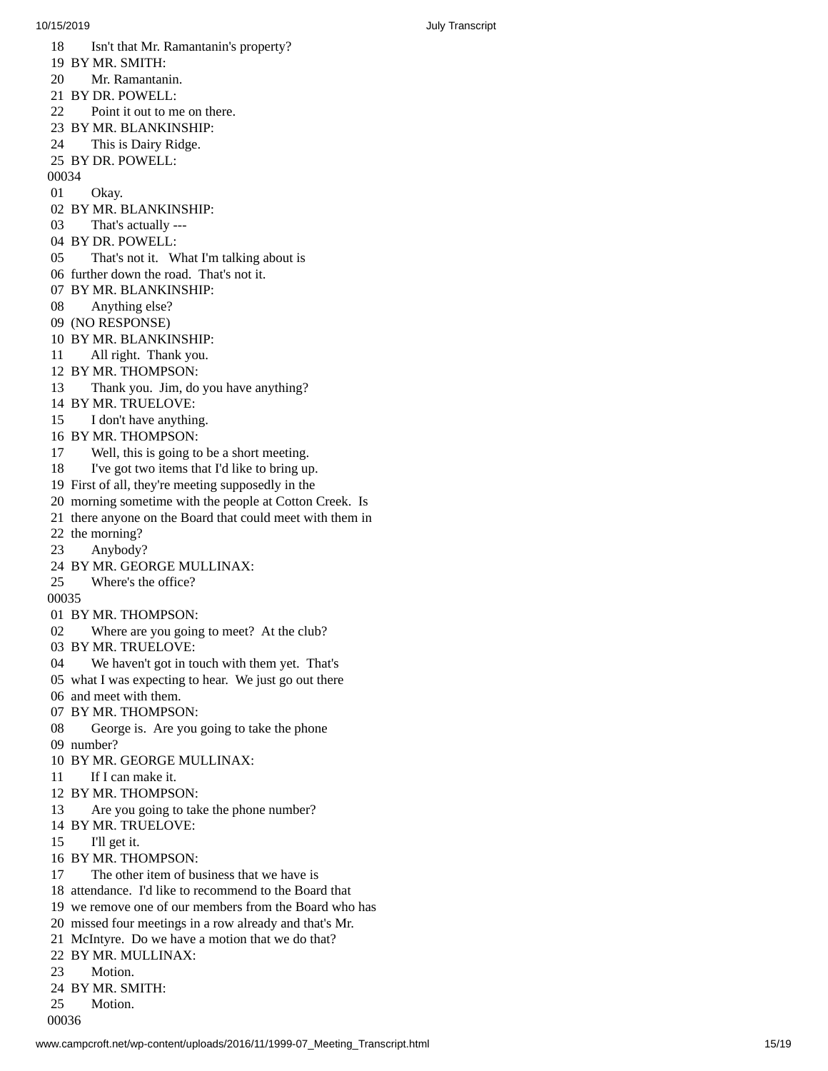10/15/2019 July Transcript 1 8 Isn't that Mr. Ramantanin's property? 19 BY MR. SMITH: 20 Mr. Ramantan i n. 21 BY DR. POWELL: 22 Point it out to me on there. 23 BY MR. BLANKINSHIP: 24 This is Dairy Ridge. 25 BY DR. POWELL: 00034 01 Okay. 02 BY MR. BLANKINSHIP: 03 That's actually --- 04 BY DR. POWELL: 05 That's not it. What I'm talking about is 06 further down the road. That's not it. 07 BY MR. BLANKINSHIP: 08 Anything else? 09 (NO RESPONSE) 10 BY MR. BLANKINSHIP: 11 All right. Thank you. 12 BY MR. THOMPSON: 13 Thank you. Jim, do you have anything? 14 BY MR. TRUELOVE: 15 I don't have anythin g. 16 BY MR. THOMPSON: 17 Well, this is going to be a short meeting. 18 I've got two items that I'd like to bring up. 19 First of all, they're meeting supposedly in the 20 morning sometime with the people at Cotton Creek. Is 21 there anyone on the Board that could meet with them in 22 the morning? 2 3 Anybody? 24 BY MR. GEORGE MULLINAX: 25 Where's the office? 00035 01 BY MR. THOMPSON: 02 Where are you going to meet? At the club? 03 BY MR. TRUELOVE: 04 We haven't got in touch with them yet. That's 05 what I was expecting to hear. We just go out there 06 and meet with them. 07 BY MR. THOMPSO N: 08 George is. Are you going to take the phone 09 number? 10 BY MR. GEORGE MULLINAX: 11 If I can make it. 12 BY MR. THOMPSON: 13 Are you going to take the phone number? 14 BY MR. TRUELOVE: 15 I'll get it. 16 BY MR. THOMPSON: 17 The other item of business that we have is 18 attendance. I'd like to recommend to the Board that 19 we remove one of our members from the Board who has 20 missed four meetings in a row already and that's Mr. 21 McIntyre. Do we have a motion that we do that? 22 BY MR. MULLINAX: 23 Motion. 24 BY MR. SMITH: 25 Motion.

00036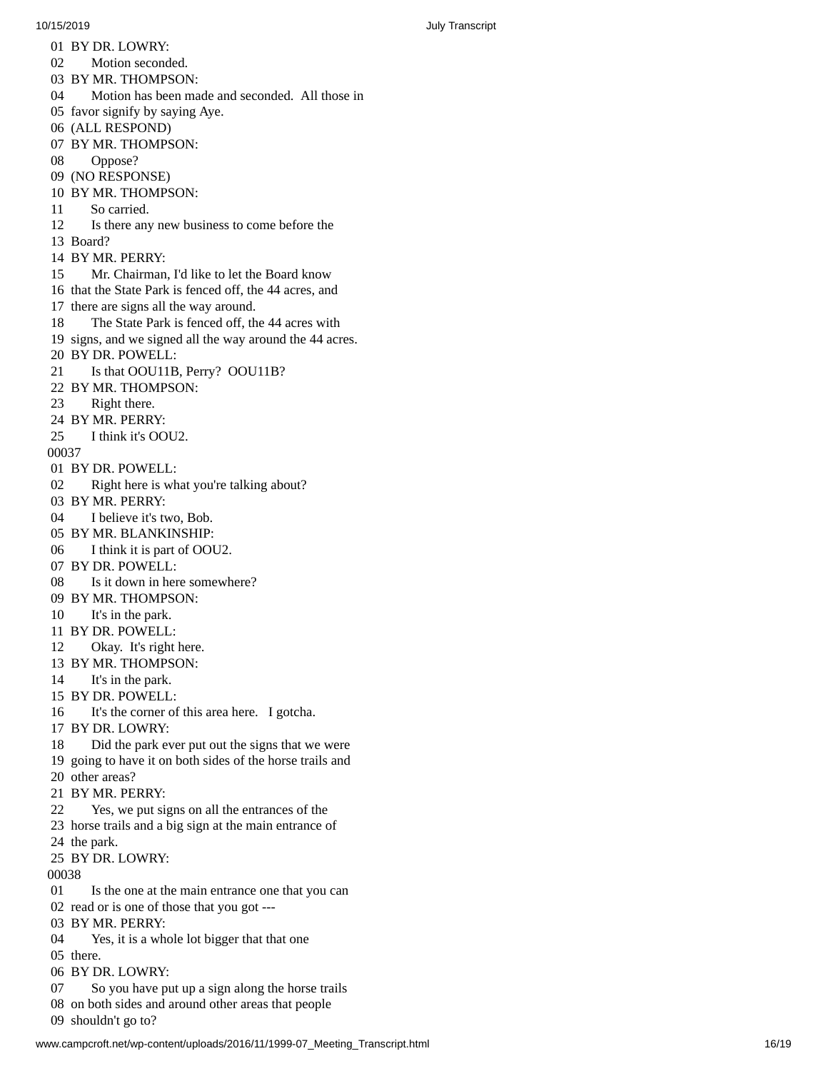01 BY DR. LOWRY: 02 Motion seconded. BY MR. THOMPSON: 04 Motion has been made and seconded. All those in 05 favor signify by saying Aye. (ALL RESPOND) BY MR. THOMPSON: Oppose? (NO RESPONSE) BY MR. THOMPSON: So carried. 12 Is there any new business to come before the 13 Board? 14 BY MR. PERRY: 15 Mr. Chairman, I'd like to let the Board know 16 that the State Park is fenced off, the 44 acres, and 17 there are signs all the way around. 18 The State Park is fenced off, the 44 acres with 19 signs, and we signed all the way around the 44 acres. BY DR. POWELL: Is that OOU11B, Perry? OOU11B? BY MR. THOMPSON: Right there. BY MR. PERRY: I think it's OOU2. BY DR. POWELL: Right here is what you're talking about? BY MR. PERRY: I believe it's two, Bob. BY MR. BLANKINSHIP: I think it is part of OOU2. BY DR. POWELL: Is it down in here somewhere? BY MR. THOMPSON: It's in the park. BY DR. POWELL: Okay. It's right here. BY MR. THOMPSON: It's in the park. BY DR. POWELL: It's the corner of this area here. I gotcha. BY DR. LOWRY: Did the park ever put out the signs that we were going to have it on both sides of the horse trails and other areas? BY MR. PERRY: Yes, we put signs on all the entrances of the horse trails and a big sign at the main entrance of the park. BY DR. LOWRY: Is the one at the main entrance one that you can read or is one of those that you got --- BY MR. PERRY: Yes, it is a whole lot bigger that that one there. BY DR. LOWRY: So you have put up a sign along the horse trails on both sides and around other areas that people shouldn't go to?

www.campcroft.net/wp-content/uploads/2016/11/1999-07 Meeting Transcript.html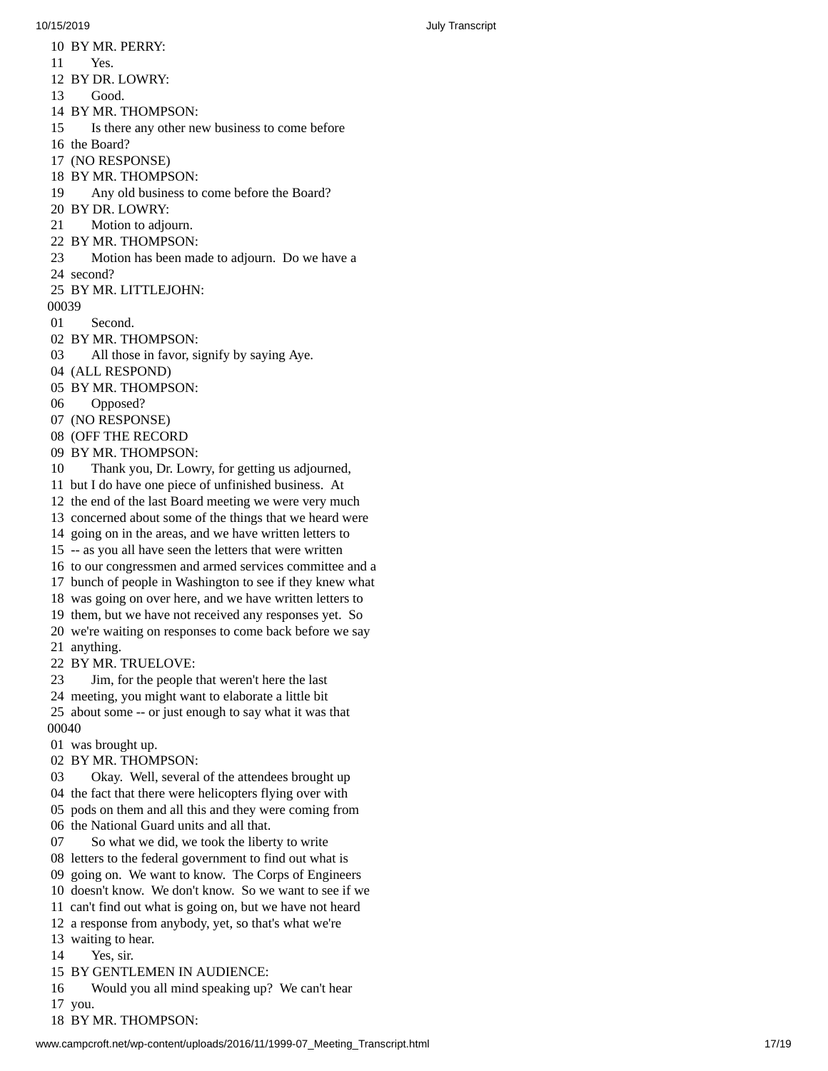10 BY MR. PERRY:

10/15/2019 July Transcript

11 Yes. 12 BY DR. LOWRY: 13 Good. 14 BY MR. THOMP S O N: 15 Is there any other new business to come before 16 the Board? 17 (NO RESPONSE) 18 BY MR. THOMPSON: 19 Any old business to come before the Board? 2 0 B Y D R. L O W RY: 21 Motion to adjourn. 22 BY MR. THOMPSON: 23 Motion has been made to adjourn. Do we have a 24 second? 25 BY MR. LITTLEJOHN: 00039 01 Second. 02 BY MR. THOMPSON: 03 All those in favor, signify by saying Aye. 04 (ALL RESPOND) 05 BY MR. THOMPSON: 06 Opposed? 07 (NO RESPONSE) 08 (OFF THE RECORD 09 BY MR. THOMPSON: 10 Thank you, Dr. Lowry, for getting us adjourned, 11 but I do have one piece of unfinished business. At 12 the end of the last Board meeting we were very much 13 concerned about some of the things that we heard were 14 going on in the areas, and we have written letters to 15 -- as you all have seen the letters that were written 16 to our congressmen and armed services committee and a 17 bunch of people in Washington to see if they knew what 18 was going on over here, and we have written letters to 19 them, but we have not received any responses yet. So 20 we're waiting on responses to come back before we say 21 anything. 22 BY MR. TRUELOVE: 23 Jim, for the people that weren't here the last 24 meeting, you might want to elaborate a little bit 25 about some -- or just enough to say what it was that 00040 01 was brought up. 02 BY MR. THOMPSON: 03 Okay. Well, several of the attendees brought up 04 the fact that there were helicopters flying over with 05 pods on them and all this and they were coming from 06 the National Guard units and all that. 07 So what we did, we took the liberty to write 08 letters to the federal government to find out what is 09 going on. We want to know. The Corps of Engineers 10 doesn't know. We don't know. So we want to see if we 11 can't find out what is going on, but we have not heard 12 a response from anybody, yet, so that's what we're 13 waiting to hear. 14 Yes, sir. 15 BY GENTLEMEN IN AUDIENCE: 16 Would you all mind speaking up? We can't hear 17 you.

18 BY MR. THOMPSON: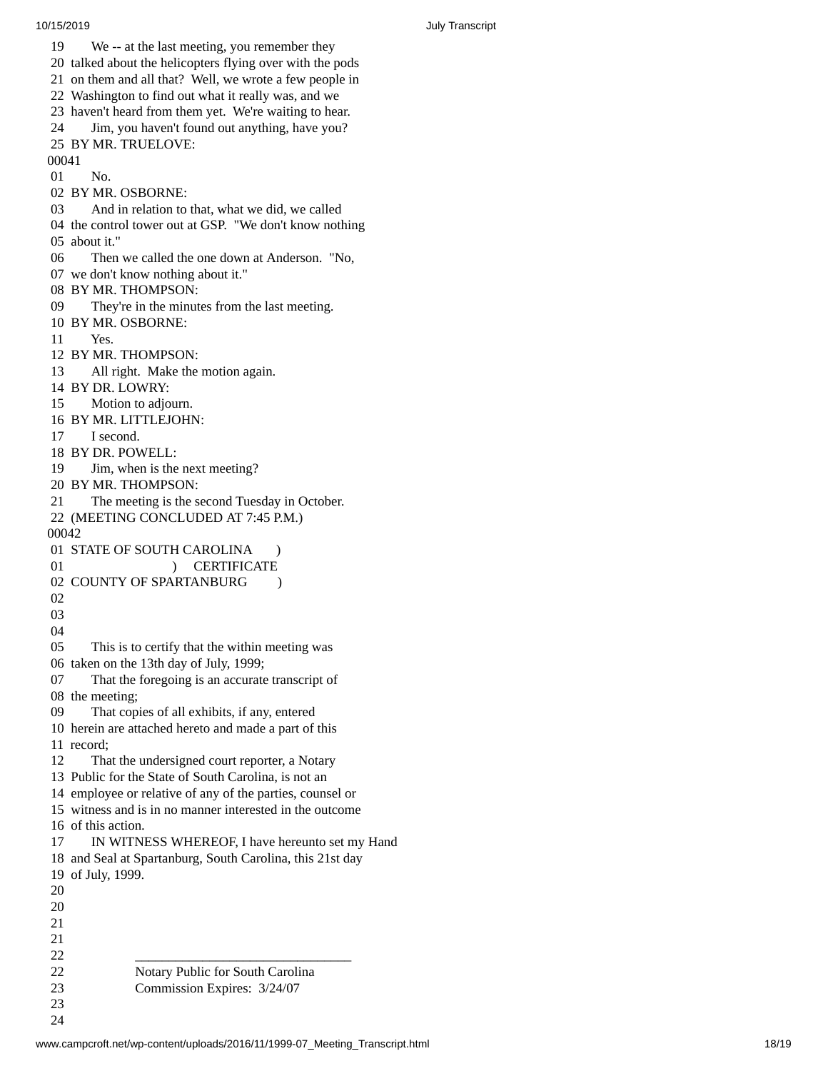1 9 We -- at the last meeting, you remember they 20 talked about the helicopters flying over with the pods 21 on them and all that? Well, we wrote a few people in 22 Washington to find out what it really was, and we 23 haven't heard from them yet. We're waiting to hear. 24 Jim, you haven't found out anything, have you? 25 BY MR. TRUELOVE: 00041 01 No. 02 BY MR. OSBORNE: 03 And in relation to that, what we did, we called 04 the control tower out at GSP. "We don't know nothing 05 about it." 0 6 Then we called the one down at Anderson. "No, 07 we don't know nothing about it." 08 BY MR. THOMPSON: 09 They're in the minutes from the last meeting. 10 BY MR. OSBORNE: 11 Yes. 12 BY MR. THOMPSON: 13 All right. Make the motion again. 14 BY DR. LOWRY: 15 Motion to adjourn. 16 BY MR. LITTLEJOHN: 17 I second. 18 BY DR. POWELL: 19 Jim, when is the next meeting? 20 BY MR. THOMPSON: 21 The meeting is the second Tuesday in Octobe r. 22 (MEETING CONCLUDED AT 7:45 P.M.) 00042 01 STATE OF SOUTH CAROLINA ) 01 ) CERTIFICATE 02 COUNTY OF SPARTANBURG ) 02<br>03<br>04<br>05 This is to certify that the within meeting was 06 taken on the 13th day of July, 1999; 07 That the foregoing is an accurate transcript of 08 the meeting; 09 That copies of all exhibits, if any, entered 10 herein are attached hereto and made a part of this 11 record; 12 That the undersigned court reporter, a Notary 13 Public for the State of South Carolina, is not an 14 employee or relative of any of the parties, counsel o r 15 witness and is in no manner interested in the outcome 16 of this action. 17 IN WITNESS WHEREOF, I have hereunto set my Hand 18 and Seal at Spartanburg, South Carolina, this 21st day 19 of July, 1999.  $20$ <br>  $20$ <br>  $21$ <br>  $21$ <br>  $22$ 22 Notary Public for South Carolina 23 Commission Expires: 3/24/07

23<br>24